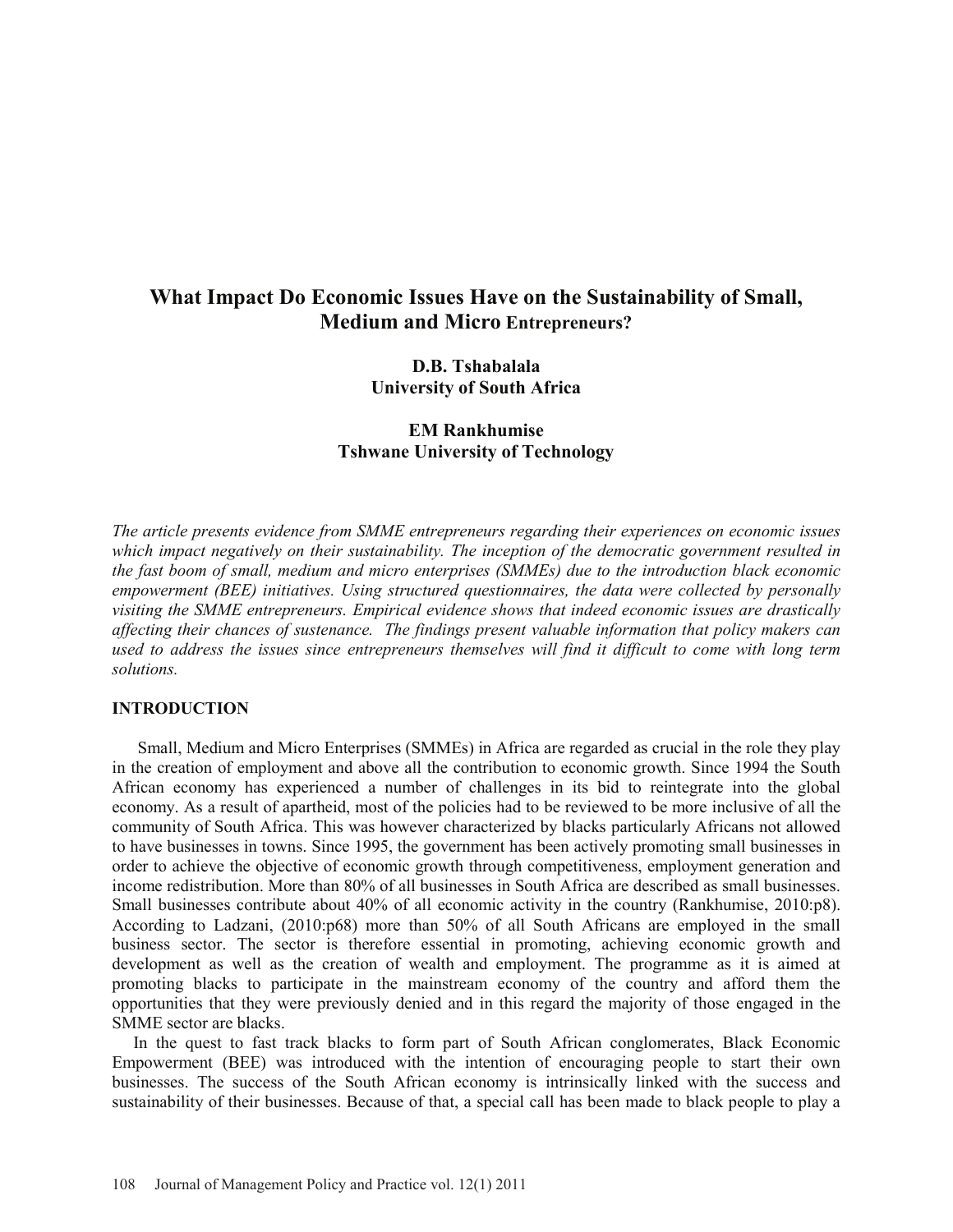# **What Impact Do Economic Issues Have on the Sustainability of Small, Medium and Micro Entrepreneurs?**

**D.B. Tshabalala University of South Africa**

**EM Rankhumise Tshwane University of Technology** 

*The article presents evidence from SMME entrepreneurs regarding their experiences on economic issues which impact negatively on their sustainability. The inception of the democratic government resulted in the fast boom of small, medium and micro enterprises (SMMEs) due to the introduction black economic empowerment (BEE) initiatives. Using structured questionnaires, the data were collected by personally visiting the SMME entrepreneurs. Empirical evidence shows that indeed economic issues are drastically affecting their chances of sustenance. The findings present valuable information that policy makers can used to address the issues since entrepreneurs themselves will find it difficult to come with long term solutions.*

## **INTRODUCTION**

Small, Medium and Micro Enterprises (SMMEs) in Africa are regarded as crucial in the role they play in the creation of employment and above all the contribution to economic growth. Since 1994 the South African economy has experienced a number of challenges in its bid to reintegrate into the global economy. As a result of apartheid, most of the policies had to be reviewed to be more inclusive of all the community of South Africa. This was however characterized by blacks particularly Africans not allowed to have businesses in towns. Since 1995, the government has been actively promoting small businesses in order to achieve the objective of economic growth through competitiveness, employment generation and income redistribution. More than 80% of all businesses in South Africa are described as small businesses. Small businesses contribute about 40% of all economic activity in the country (Rankhumise, 2010:p8). According to Ladzani, (2010:p68) more than 50% of all South Africans are employed in the small business sector. The sector is therefore essential in promoting, achieving economic growth and development as well as the creation of wealth and employment. The programme as it is aimed at promoting blacks to participate in the mainstream economy of the country and afford them the opportunities that they were previously denied and in this regard the majority of those engaged in the SMME sector are blacks.

In the quest to fast track blacks to form part of South African conglomerates, Black Economic Empowerment (BEE) was introduced with the intention of encouraging people to start their own businesses. The success of the South African economy is intrinsically linked with the success and sustainability of their businesses. Because of that, a special call has been made to black people to play a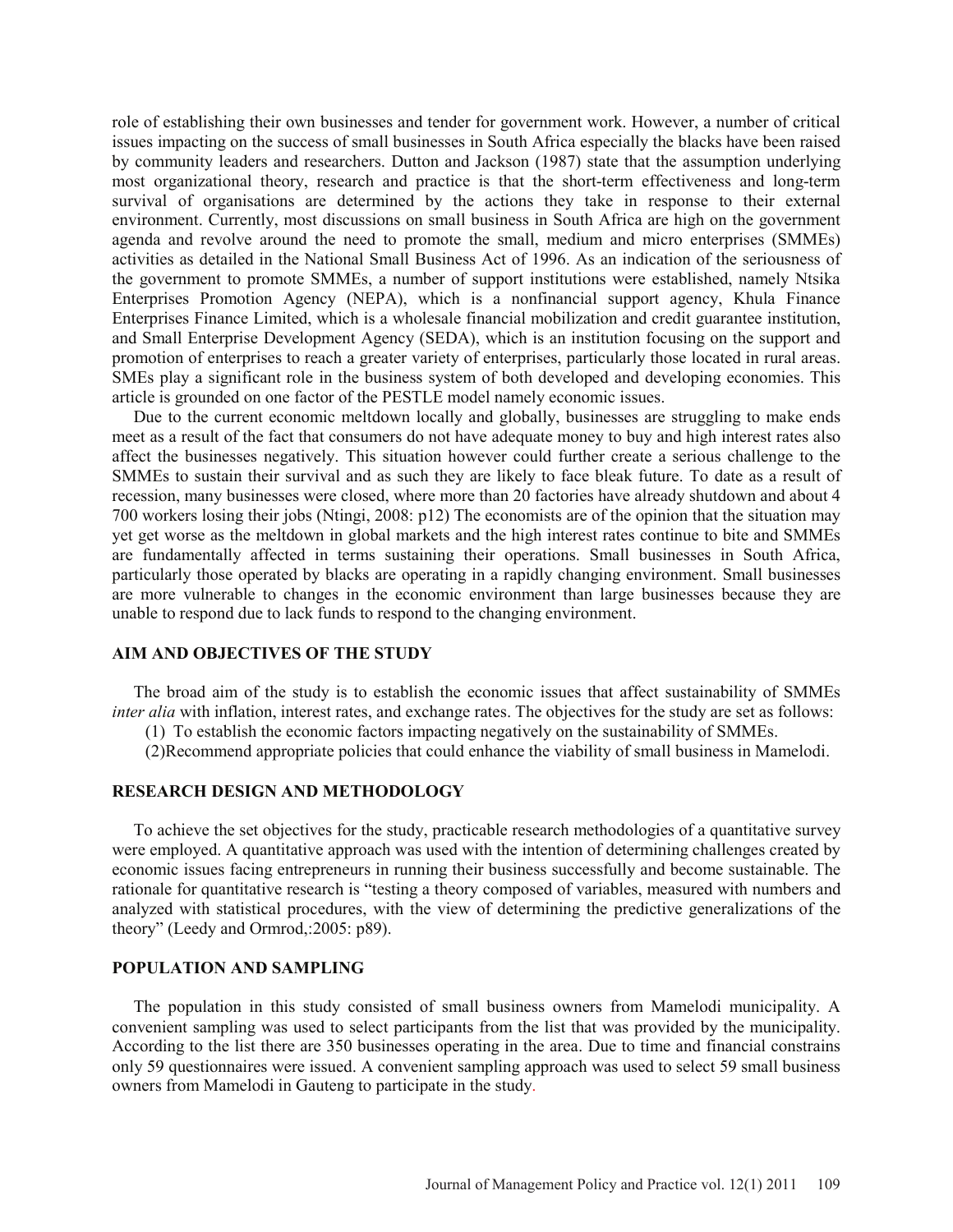role of establishing their own businesses and tender for government work. However, a number of critical issues impacting on the success of small businesses in South Africa especially the blacks have been raised by community leaders and researchers. Dutton and Jackson (1987) state that the assumption underlying most organizational theory, research and practice is that the short-term effectiveness and long-term survival of organisations are determined by the actions they take in response to their external environment. Currently, most discussions on small business in South Africa are high on the government agenda and revolve around the need to promote the small, medium and micro enterprises (SMMEs) activities as detailed in the National Small Business Act of 1996. As an indication of the seriousness of the government to promote SMMEs, a number of support institutions were established, namely Ntsika Enterprises Promotion Agency (NEPA), which is a nonfinancial support agency, Khula Finance Enterprises Finance Limited, which is a wholesale financial mobilization and credit guarantee institution, and Small Enterprise Development Agency (SEDA), which is an institution focusing on the support and promotion of enterprises to reach a greater variety of enterprises, particularly those located in rural areas. SMEs play a significant role in the business system of both developed and developing economies. This article is grounded on one factor of the PESTLE model namely economic issues.

Due to the current economic meltdown locally and globally, businesses are struggling to make ends meet as a result of the fact that consumers do not have adequate money to buy and high interest rates also affect the businesses negatively. This situation however could further create a serious challenge to the SMMEs to sustain their survival and as such they are likely to face bleak future. To date as a result of recession, many businesses were closed, where more than 20 factories have already shutdown and about 4 700 workers losing their jobs (Ntingi, 2008: p12) The economists are of the opinion that the situation may yet get worse as the meltdown in global markets and the high interest rates continue to bite and SMMEs are fundamentally affected in terms sustaining their operations. Small businesses in South Africa, particularly those operated by blacks are operating in a rapidly changing environment. Small businesses are more vulnerable to changes in the economic environment than large businesses because they are unable to respond due to lack funds to respond to the changing environment.

## **AIM AND OBJECTIVES OF THE STUDY**

The broad aim of the study is to establish the economic issues that affect sustainability of SMMEs *inter alia* with inflation, interest rates, and exchange rates. The objectives for the study are set as follows:

(1) To establish the economic factors impacting negatively on the sustainability of SMMEs.

(2)Recommend appropriate policies that could enhance the viability of small business in Mamelodi.

# **RESEARCH DESIGN AND METHODOLOGY**

To achieve the set objectives for the study, practicable research methodologies of a quantitative survey were employed. A quantitative approach was used with the intention of determining challenges created by economic issues facing entrepreneurs in running their business successfully and become sustainable. The rationale for quantitative research is "testing a theory composed of variables, measured with numbers and analyzed with statistical procedures, with the view of determining the predictive generalizations of the theory" (Leedy and Ormrod,:2005: p89).

#### **POPULATION AND SAMPLING**

The population in this study consisted of small business owners from Mamelodi municipality. A convenient sampling was used to select participants from the list that was provided by the municipality. According to the list there are 350 businesses operating in the area. Due to time and financial constrains only 59 questionnaires were issued. A convenient sampling approach was used to select 59 small business owners from Mamelodi in Gauteng to participate in the study.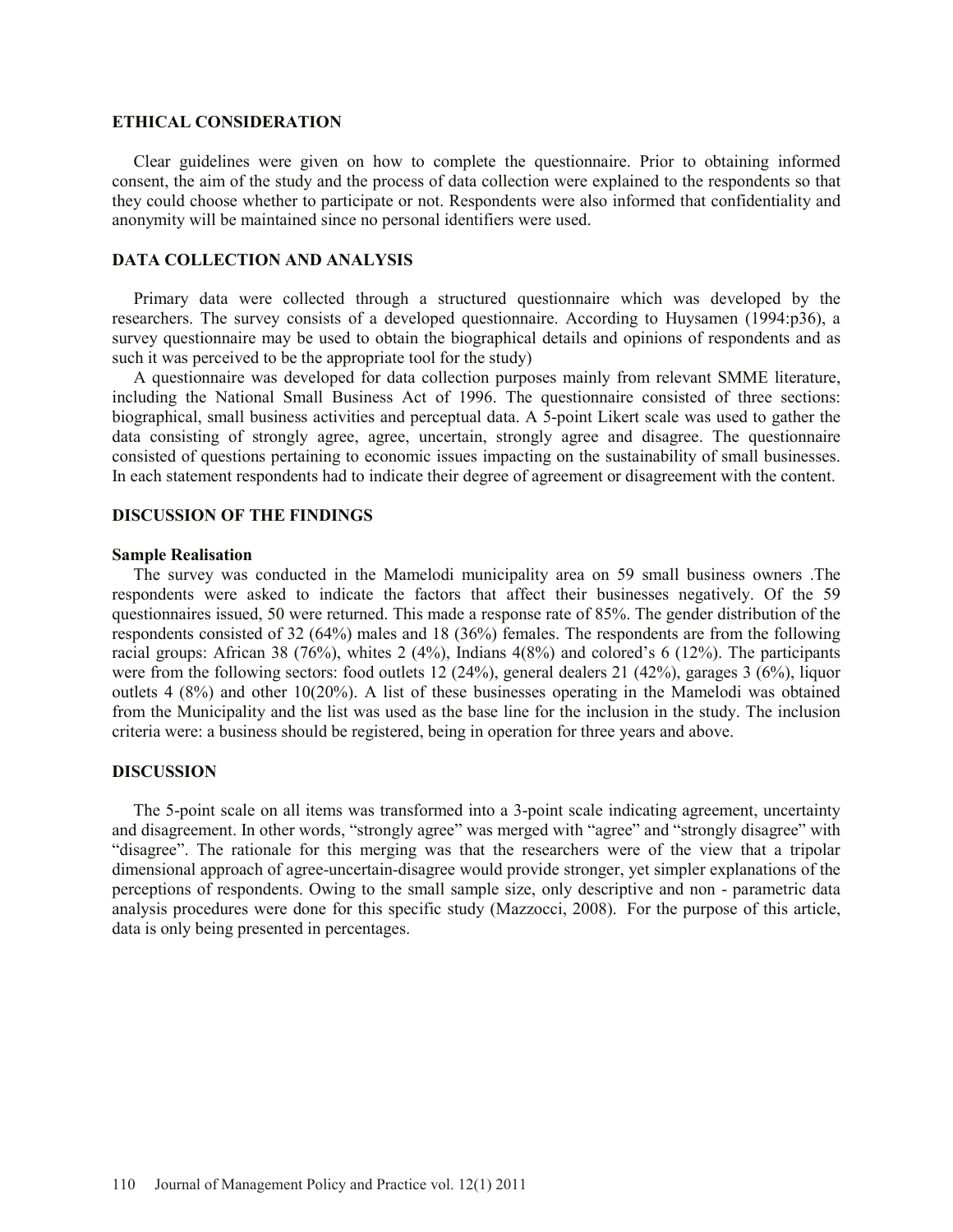#### **ETHICAL CONSIDERATION**

Clear guidelines were given on how to complete the questionnaire. Prior to obtaining informed consent, the aim of the study and the process of data collection were explained to the respondents so that they could choose whether to participate or not. Respondents were also informed that confidentiality and anonymity will be maintained since no personal identifiers were used.

# **DATA COLLECTION AND ANALYSIS**

Primary data were collected through a structured questionnaire which was developed by the researchers. The survey consists of a developed questionnaire. According to Huysamen (1994:p36), a survey questionnaire may be used to obtain the biographical details and opinions of respondents and as such it was perceived to be the appropriate tool for the study)

A questionnaire was developed for data collection purposes mainly from relevant SMME literature, including the National Small Business Act of 1996. The questionnaire consisted of three sections: biographical, small business activities and perceptual data. A 5-point Likert scale was used to gather the data consisting of strongly agree, agree, uncertain, strongly agree and disagree. The questionnaire consisted of questions pertaining to economic issues impacting on the sustainability of small businesses. In each statement respondents had to indicate their degree of agreement or disagreement with the content.

## **DISCUSSION OF THE FINDINGS**

#### **Sample Realisation**

The survey was conducted in the Mamelodi municipality area on 59 small business owners .The respondents were asked to indicate the factors that affect their businesses negatively. Of the 59 questionnaires issued, 50 were returned. This made a response rate of 85%. The gender distribution of the respondents consisted of 32 (64%) males and 18 (36%) females. The respondents are from the following racial groups: African 38 (76%), whites 2 (4%), Indians 4(8%) and colored's 6 (12%). The participants were from the following sectors: food outlets 12 (24%), general dealers 21 (42%), garages 3 (6%), liquor outlets 4 (8%) and other 10(20%). A list of these businesses operating in the Mamelodi was obtained from the Municipality and the list was used as the base line for the inclusion in the study. The inclusion criteria were: a business should be registered, being in operation for three years and above.

#### **DISCUSSION**

The 5-point scale on all items was transformed into a 3-point scale indicating agreement, uncertainty and disagreement. In other words, "strongly agree" was merged with "agree" and "strongly disagree" with "disagree". The rationale for this merging was that the researchers were of the view that a tripolar dimensional approach of agree-uncertain-disagree would provide stronger, yet simpler explanations of the perceptions of respondents. Owing to the small sample size, only descriptive and non - parametric data analysis procedures were done for this specific study (Mazzocci, 2008). For the purpose of this article, data is only being presented in percentages.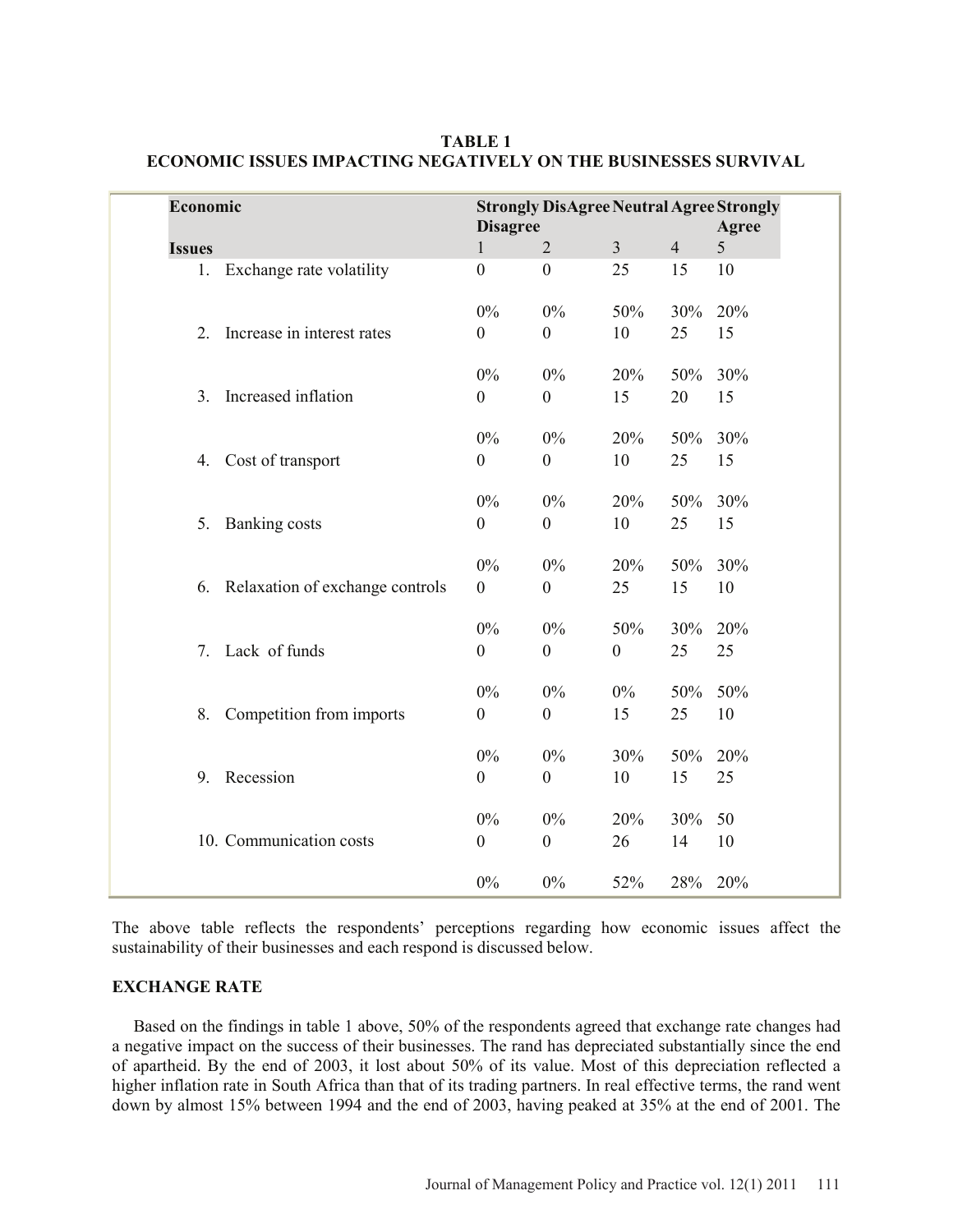|               | Economic<br><b>Strongly DisAgree Neutral Agree Strongly</b> |                  |                  |                |                |     |
|---------------|-------------------------------------------------------------|------------------|------------------|----------------|----------------|-----|
|               |                                                             |                  | <b>Disagree</b>  |                |                |     |
| <b>Issues</b> |                                                             | $\mathbf{1}$     | $\overline{2}$   | $\overline{3}$ | $\overline{4}$ | 5   |
|               | Exchange rate volatility<br>1.                              | $\mathbf{0}$     | $\boldsymbol{0}$ | 25             | 15             | 10  |
|               |                                                             | $0\%$            | $0\%$            | 50%            | 30%            | 20% |
| 2.            | Increase in interest rates                                  | $\boldsymbol{0}$ | $\boldsymbol{0}$ | 10             | 25             | 15  |
|               |                                                             | $0\%$            | $0\%$            | 20%            | 50%            | 30% |
| 3.            | Increased inflation                                         | $\boldsymbol{0}$ | $\boldsymbol{0}$ | 15             | 20             | 15  |
|               |                                                             | $0\%$            | $0\%$            | 20%            | 50%            | 30% |
| 4.            | Cost of transport                                           | $\mathbf{0}$     | $\boldsymbol{0}$ | 10             | 25             | 15  |
|               |                                                             | $0\%$            | $0\%$            | 20%            | 50%            | 30% |
| 5.            | <b>Banking costs</b>                                        | $\overline{0}$   | $\boldsymbol{0}$ | 10             | 25             | 15  |
|               |                                                             | $0\%$            | $0\%$            | 20%            | 50%            | 30% |
| 6.            | Relaxation of exchange controls                             | $\overline{0}$   | $\boldsymbol{0}$ | 25             | 15             | 10  |
|               |                                                             | $0\%$            | $0\%$            | 50%            | 30%            | 20% |
|               | Lack of funds<br>7.                                         | $\theta$         | $\mathbf{0}$     | $\mathbf{0}$   | 25             | 25  |
|               |                                                             | $0\%$            | $0\%$            | $0\%$          | 50%            | 50% |
| 8.            | Competition from imports                                    | $\boldsymbol{0}$ | $\boldsymbol{0}$ | 15             | 25             | 10  |
|               |                                                             | $0\%$            | $0\%$            | 30%            | 50%            | 20% |
|               | Recession<br>9.                                             | $\boldsymbol{0}$ | $\boldsymbol{0}$ | 10             | 15             | 25  |
|               |                                                             | $0\%$            | $0\%$            | 20%            | 30%            | 50  |
|               | 10. Communication costs                                     | $\mathbf{0}$     | $\boldsymbol{0}$ | 26             | 14             | 10  |
|               |                                                             | $0\%$            | 0%               | 52%            | 28%            | 20% |

**TABLE 1 ECONOMIC ISSUES IMPACTING NEGATIVELY ON THE BUSINESSES SURVIVAL**

The above table reflects the respondents' perceptions regarding how economic issues affect the sustainability of their businesses and each respond is discussed below.

## **EXCHANGE RATE**

Based on the findings in table 1 above, 50% of the respondents agreed that exchange rate changes had a negative impact on the success of their businesses. The rand has depreciated substantially since the end of apartheid. By the end of 2003, it lost about 50% of its value. Most of this depreciation reflected a higher inflation rate in South Africa than that of its trading partners. In real effective terms, the rand went down by almost 15% between 1994 and the end of 2003, having peaked at 35% at the end of 2001. The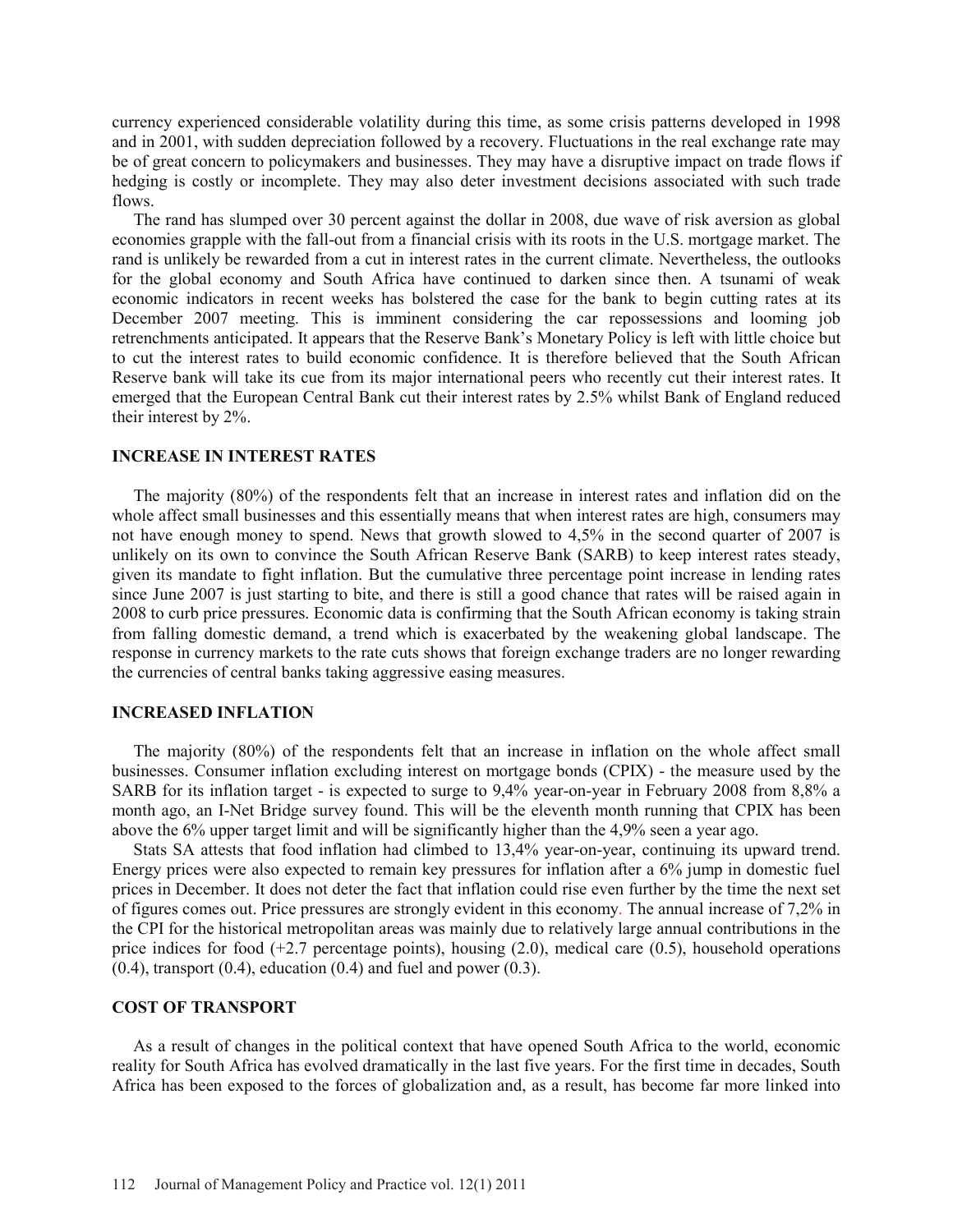currency experienced considerable volatility during this time, as some crisis patterns developed in 1998 and in 2001, with sudden depreciation followed by a recovery. Fluctuations in the real exchange rate may be of great concern to policymakers and businesses. They may have a disruptive impact on trade flows if hedging is costly or incomplete. They may also deter investment decisions associated with such trade flows.

The rand has slumped over 30 percent against the dollar in 2008, due wave of risk aversion as global economies grapple with the fall-out from a financial crisis with its roots in the U.S. mortgage market. The rand is unlikely be rewarded from a cut in interest rates in the current climate. Nevertheless, the outlooks for the global economy and South Africa have continued to darken since then. A tsunami of weak economic indicators in recent weeks has bolstered the case for the bank to begin cutting rates at its December 2007 meeting. This is imminent considering the car repossessions and looming job retrenchments anticipated. It appears that the Reserve Bank's Monetary Policy is left with little choice but to cut the interest rates to build economic confidence. It is therefore believed that the South African Reserve bank will take its cue from its major international peers who recently cut their interest rates. It emerged that the European Central Bank cut their interest rates by 2.5% whilst Bank of England reduced their interest by 2%.

#### **INCREASE IN INTEREST RATES**

The majority (80%) of the respondents felt that an increase in interest rates and inflation did on the whole affect small businesses and this essentially means that when interest rates are high, consumers may not have enough money to spend. News that growth slowed to 4,5% in the second quarter of 2007 is unlikely on its own to convince the South African Reserve Bank (SARB) to keep interest rates steady, given its mandate to fight inflation. But the cumulative three percentage point increase in lending rates since June 2007 is just starting to bite, and there is still a good chance that rates will be raised again in 2008 to curb price pressures. Economic data is confirming that the South African economy is taking strain from falling domestic demand, a trend which is exacerbated by the weakening global landscape. The response in currency markets to the rate cuts shows that foreign exchange traders are no longer rewarding the currencies of central banks taking aggressive easing measures.

# **INCREASED INFLATION**

The majority (80%) of the respondents felt that an increase in inflation on the whole affect small businesses. Consumer inflation excluding interest on mortgage bonds (CPIX) - the measure used by the SARB for its inflation target - is expected to surge to 9,4% year-on-year in February 2008 from 8,8% a month ago, an I-Net Bridge survey found. This will be the eleventh month running that CPIX has been above the 6% upper target limit and will be significantly higher than the 4,9% seen a year ago.

Stats SA attests that food inflation had climbed to 13,4% year-on-year, continuing its upward trend. Energy prices were also expected to remain key pressures for inflation after a 6% jump in domestic fuel prices in December. It does not deter the fact that inflation could rise even further by the time the next set of figures comes out. Price pressures are strongly evident in this economy. The annual increase of 7,2% in the CPI for the historical metropolitan areas was mainly due to relatively large annual contributions in the price indices for food  $(+2.7$  percentage points), housing  $(2.0)$ , medical care  $(0.5)$ , household operations  $(0.4)$ , transport  $(0.4)$ , education  $(0.4)$  and fuel and power  $(0.3)$ .

#### **COST OF TRANSPORT**

As a result of changes in the political context that have opened South Africa to the world, economic reality for South Africa has evolved dramatically in the last five years. For the first time in decades, South Africa has been exposed to the forces of globalization and, as a result, has become far more linked into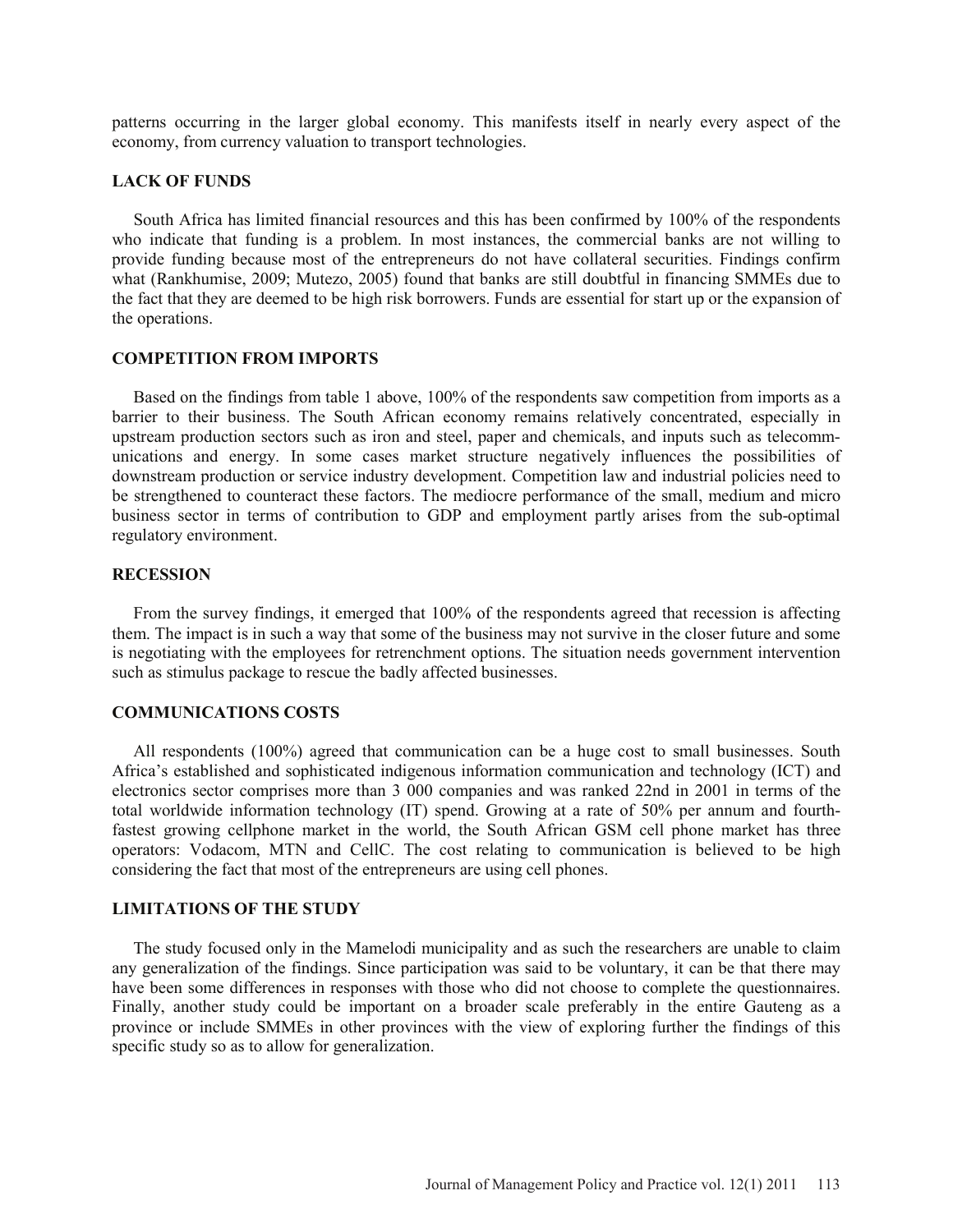patterns occurring in the larger global economy. This manifests itself in nearly every aspect of the economy, from currency valuation to transport technologies.

## **LACK OF FUNDS**

South Africa has limited financial resources and this has been confirmed by 100% of the respondents who indicate that funding is a problem. In most instances, the commercial banks are not willing to provide funding because most of the entrepreneurs do not have collateral securities. Findings confirm what (Rankhumise, 2009; Mutezo, 2005) found that banks are still doubtful in financing SMMEs due to the fact that they are deemed to be high risk borrowers. Funds are essential for start up or the expansion of the operations.

# **COMPETITION FROM IMPORTS**

Based on the findings from table 1 above, 100% of the respondents saw competition from imports as a barrier to their business. The South African economy remains relatively concentrated, especially in upstream production sectors such as iron and steel, paper and chemicals, and inputs such as telecommunications and energy. In some cases market structure negatively influences the possibilities of downstream production or service industry development. Competition law and industrial policies need to be strengthened to counteract these factors. The mediocre performance of the small, medium and micro business sector in terms of contribution to GDP and employment partly arises from the sub-optimal regulatory environment.

# **RECESSION**

From the survey findings, it emerged that 100% of the respondents agreed that recession is affecting them. The impact is in such a way that some of the business may not survive in the closer future and some is negotiating with the employees for retrenchment options. The situation needs government intervention such as stimulus package to rescue the badly affected businesses.

# **COMMUNICATIONS COSTS**

All respondents (100%) agreed that communication can be a huge cost to small businesses. South Africa's established and sophisticated indigenous information communication and technology (ICT) and electronics sector comprises more than 3 000 companies and was ranked 22nd in 2001 in terms of the total worldwide information technology (IT) spend. Growing at a rate of 50% per annum and fourthfastest growing cellphone market in the world, the South African GSM cell phone market has three operators: Vodacom, MTN and CellC. The cost relating to communication is believed to be high considering the fact that most of the entrepreneurs are using cell phones.

## **LIMITATIONS OF THE STUDY**

The study focused only in the Mamelodi municipality and as such the researchers are unable to claim any generalization of the findings. Since participation was said to be voluntary, it can be that there may have been some differences in responses with those who did not choose to complete the questionnaires. Finally, another study could be important on a broader scale preferably in the entire Gauteng as a province or include SMMEs in other provinces with the view of exploring further the findings of this specific study so as to allow for generalization.